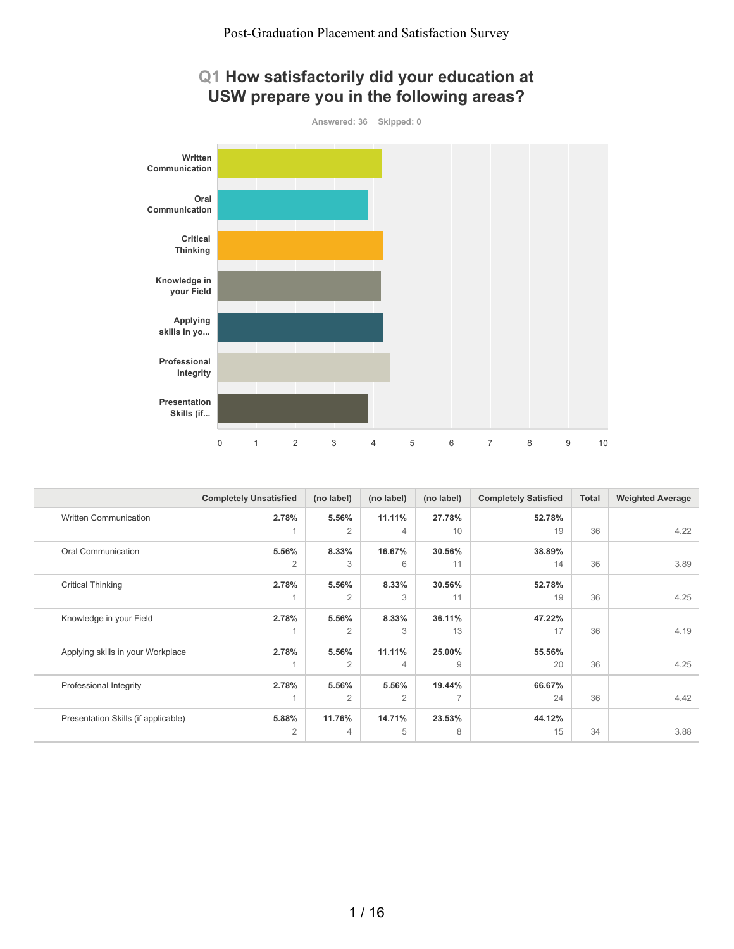



|                                     | <b>Completely Unsatisfied</b> | (no label)     | (no label)     | (no label)     | <b>Completely Satisfied</b> | Total | <b>Weighted Average</b> |
|-------------------------------------|-------------------------------|----------------|----------------|----------------|-----------------------------|-------|-------------------------|
| <b>Written Communication</b>        | 2.78%                         | 5.56%          | 11.11%         | 27.78%         | 52.78%                      |       |                         |
|                                     |                               | $\overline{2}$ | $\overline{4}$ | 10             | 19                          | 36    | 4.22                    |
| Oral Communication                  | 5.56%                         | 8.33%          | 16.67%         | 30.56%         | 38.89%                      |       |                         |
|                                     | $\overline{2}$                | 3              | 6              | 11             | 14                          | 36    | 3.89                    |
| <b>Critical Thinking</b>            | 2.78%                         | 5.56%          | 8.33%          | 30.56%         | 52.78%                      |       |                         |
|                                     |                               | $\overline{2}$ | 3              | 11             | 19                          | 36    | 4.25                    |
| Knowledge in your Field             | 2.78%                         | 5.56%          | 8.33%          | 36.11%         | 47.22%                      |       |                         |
|                                     |                               | $\overline{2}$ | 3              | 13             | 17                          | 36    | 4.19                    |
| Applying skills in your Workplace   | 2.78%                         | 5.56%          | 11.11%         | 25.00%         | 55.56%                      |       |                         |
|                                     |                               | $\overline{2}$ | $\overline{4}$ | 9              | 20                          | 36    | 4.25                    |
| Professional Integrity              | 2.78%                         | 5.56%          | 5.56%          | 19.44%         | 66.67%                      |       |                         |
|                                     |                               | $\overline{2}$ | $\overline{2}$ | $\overline{7}$ | 24                          | 36    | 4.42                    |
| Presentation Skills (if applicable) | 5.88%                         | 11.76%         | 14.71%         | 23.53%         | 44.12%                      |       |                         |
|                                     | $\overline{2}$                | 4              | 5              | 8              | 15                          | 34    | 3.88                    |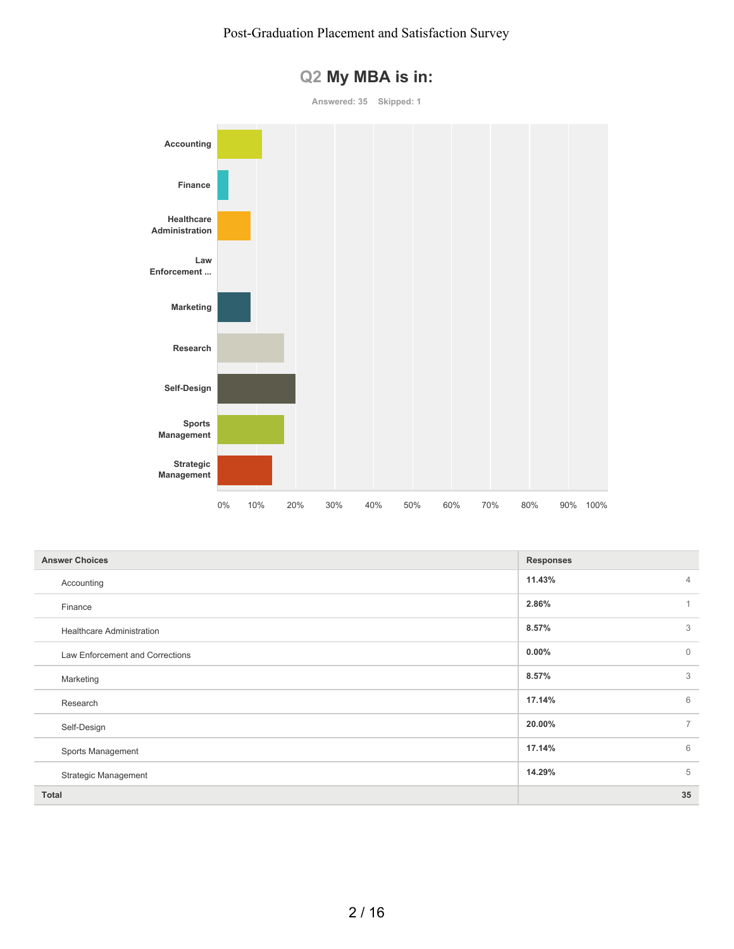

### **Q2 My MBA is in:**

| <b>Answer Choices</b>            | <b>Responses</b>         |
|----------------------------------|--------------------------|
| Accounting                       | 11.43%<br>$\overline{4}$ |
| Finance                          | 2.86%<br>1               |
| <b>Healthcare Administration</b> | 3<br>8.57%               |
| Law Enforcement and Corrections  | $0.00\%$<br>$\Omega$     |
| Marketing                        | 3<br>8.57%               |
| Research                         | 6<br>17.14%              |
| Self-Design                      | $\overline{7}$<br>20.00% |
| Sports Management                | 6<br>17.14%              |
| <b>Strategic Management</b>      | 5<br>14.29%              |
| <b>Total</b>                     | 35                       |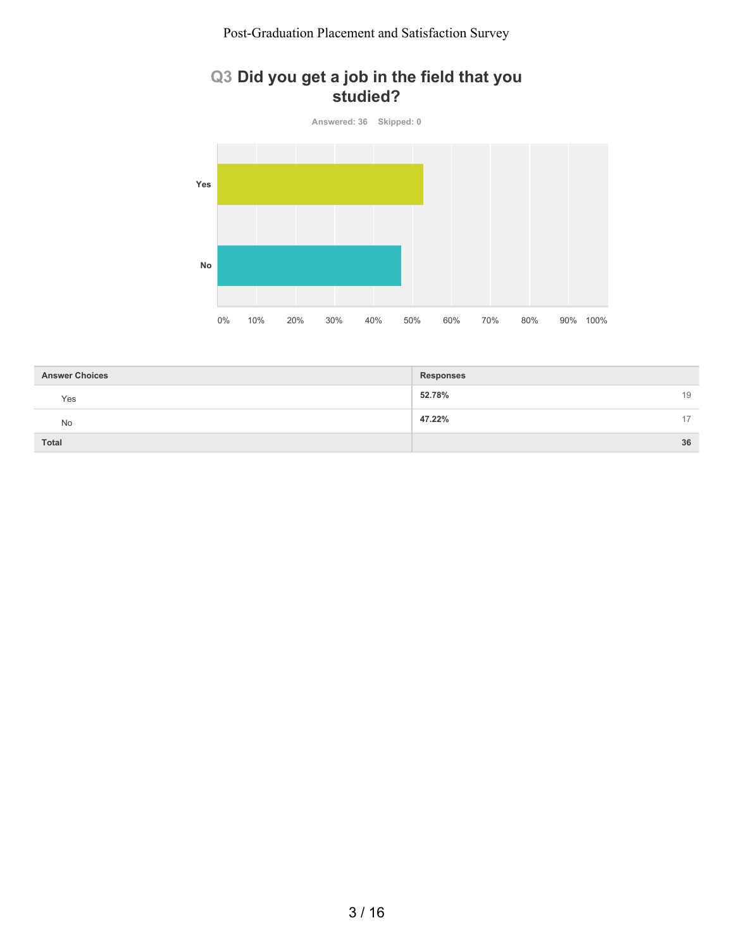### **Q3 Did you get a job in the field that you studied?**



| <b>Answer Choices</b> | <b>Responses</b> |    |
|-----------------------|------------------|----|
| Yes                   | 52.78%           | 19 |
| No                    | 47.22%           | 17 |
| <b>Total</b>          |                  | 36 |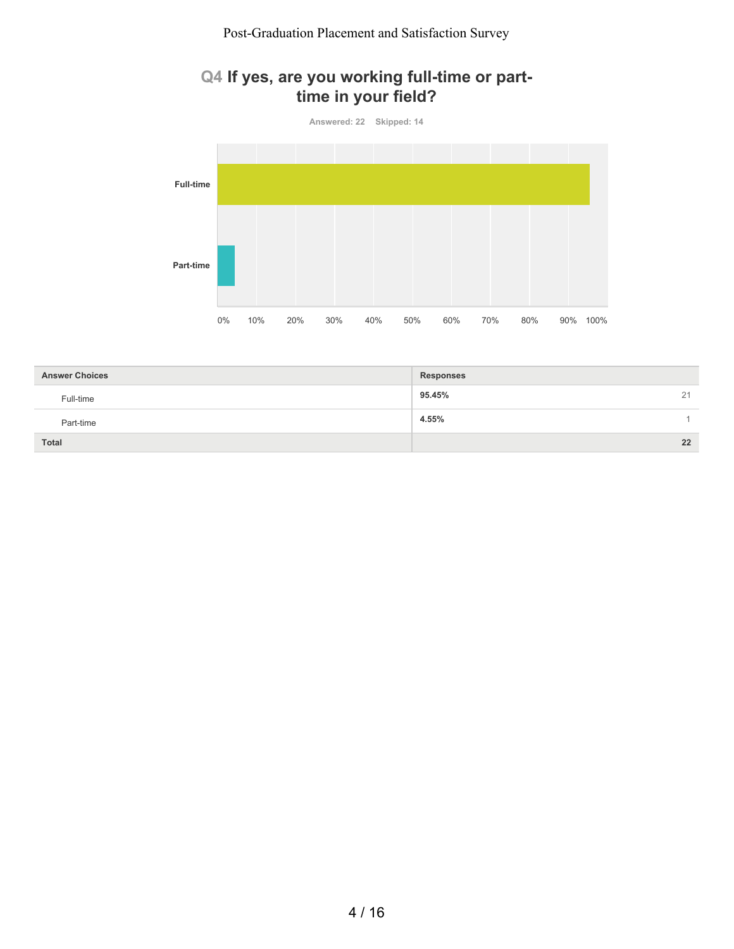### **Q4 If yes, are you working full-time or parttime in your field?**



| <b>Answer Choices</b> | <b>Responses</b>        |
|-----------------------|-------------------------|
| Full-time             | 95.45%<br>21            |
| Part-time             | 4.55%<br>$\overline{ }$ |
| <b>Total</b>          | 22                      |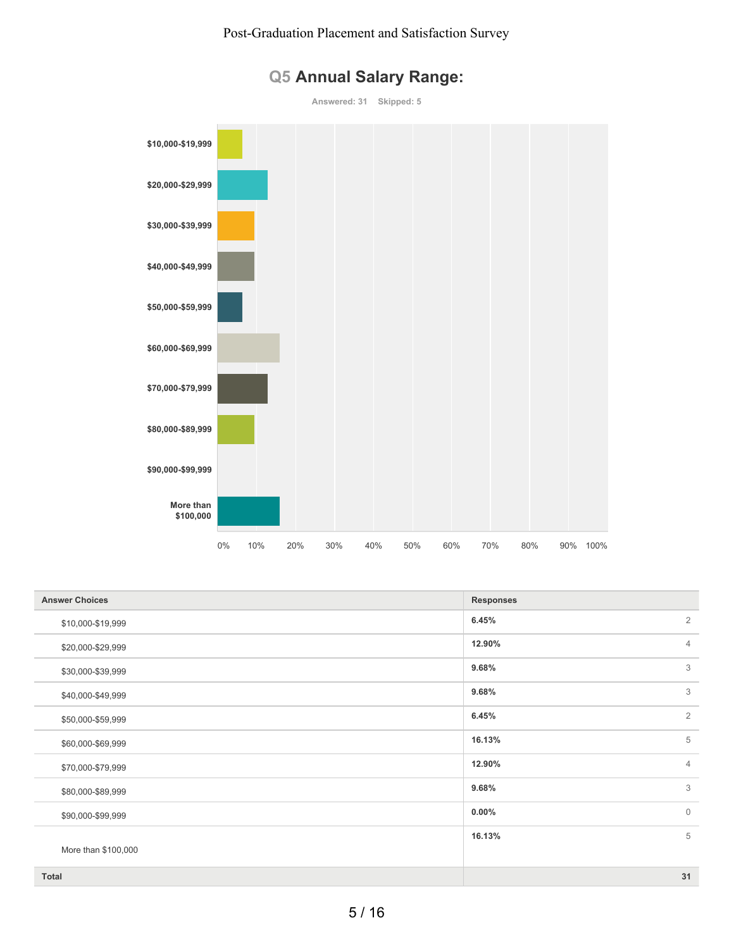

## **Q5 Annual Salary Range:**

| <b>Answer Choices</b> | <b>Responses</b> |                |
|-----------------------|------------------|----------------|
| \$10,000-\$19,999     | 6.45%            | $\overline{2}$ |
| \$20,000-\$29,999     | 12.90%           | $\overline{4}$ |
| \$30,000-\$39,999     | 9.68%            | 3              |
| \$40,000-\$49,999     | 9.68%            | 3              |
| \$50,000-\$59,999     | 6.45%            | $\overline{2}$ |
| \$60,000-\$69,999     | 16.13%           | 5              |
| \$70,000-\$79,999     | 12.90%           | $\overline{4}$ |
| \$80,000-\$89,999     | 9.68%            | 3              |
| \$90,000-\$99,999     | $0.00\%$         | $\mathbf{0}$   |
|                       | 16.13%           | 5              |
| More than \$100,000   |                  |                |
| Total                 |                  | 31             |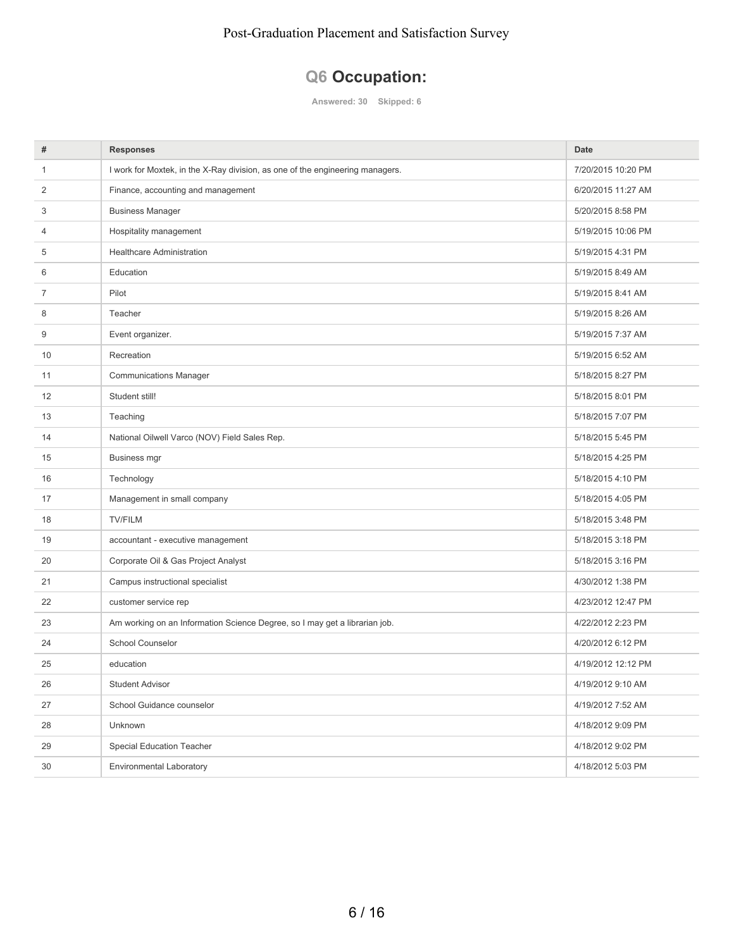# **Q6 Occupation:**

**Answered: 30 Skipped: 6**

| #  | <b>Responses</b>                                                              | <b>Date</b>        |
|----|-------------------------------------------------------------------------------|--------------------|
| 1  | I work for Moxtek, in the X-Ray division, as one of the engineering managers. | 7/20/2015 10:20 PM |
| 2  | Finance, accounting and management                                            | 6/20/2015 11:27 AM |
| 3  | <b>Business Manager</b>                                                       | 5/20/2015 8:58 PM  |
| 4  | Hospitality management                                                        | 5/19/2015 10:06 PM |
| 5  | <b>Healthcare Administration</b>                                              | 5/19/2015 4:31 PM  |
| 6  | Education                                                                     | 5/19/2015 8:49 AM  |
| 7  | Pilot                                                                         | 5/19/2015 8:41 AM  |
| 8  | Teacher                                                                       | 5/19/2015 8:26 AM  |
| 9  | Event organizer.                                                              | 5/19/2015 7:37 AM  |
| 10 | Recreation                                                                    | 5/19/2015 6:52 AM  |
| 11 | <b>Communications Manager</b>                                                 | 5/18/2015 8:27 PM  |
| 12 | Student still!                                                                | 5/18/2015 8:01 PM  |
| 13 | Teaching                                                                      | 5/18/2015 7:07 PM  |
| 14 | National Oilwell Varco (NOV) Field Sales Rep.                                 | 5/18/2015 5:45 PM  |
| 15 | <b>Business mgr</b>                                                           | 5/18/2015 4:25 PM  |
| 16 | Technology                                                                    | 5/18/2015 4:10 PM  |
| 17 | Management in small company                                                   | 5/18/2015 4:05 PM  |
| 18 | <b>TV/FILM</b>                                                                | 5/18/2015 3:48 PM  |
| 19 | accountant - executive management                                             | 5/18/2015 3:18 PM  |
| 20 | Corporate Oil & Gas Project Analyst                                           | 5/18/2015 3:16 PM  |
| 21 | Campus instructional specialist                                               | 4/30/2012 1:38 PM  |
| 22 | customer service rep                                                          | 4/23/2012 12:47 PM |
| 23 | Am working on an Information Science Degree, so I may get a librarian job.    | 4/22/2012 2:23 PM  |
| 24 | School Counselor                                                              | 4/20/2012 6:12 PM  |
| 25 | education                                                                     | 4/19/2012 12:12 PM |
| 26 | <b>Student Advisor</b>                                                        | 4/19/2012 9:10 AM  |
| 27 | School Guidance counselor                                                     | 4/19/2012 7:52 AM  |
| 28 | Unknown                                                                       | 4/18/2012 9:09 PM  |
| 29 | <b>Special Education Teacher</b>                                              | 4/18/2012 9:02 PM  |
| 30 | Environmental Laboratory                                                      | 4/18/2012 5:03 PM  |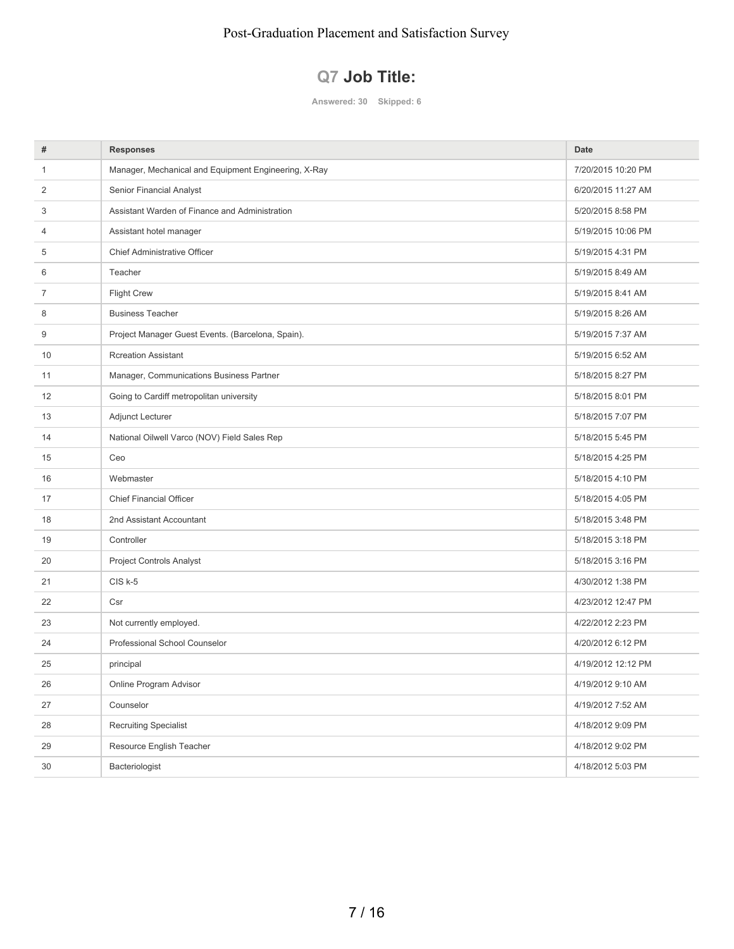# **Q7 Job Title:**

**Answered: 30 Skipped: 6**

| #              | <b>Responses</b>                                     | <b>Date</b>        |
|----------------|------------------------------------------------------|--------------------|
| $\mathbf{1}$   | Manager, Mechanical and Equipment Engineering, X-Ray | 7/20/2015 10:20 PM |
| 2              | Senior Financial Analyst                             | 6/20/2015 11:27 AM |
| 3              | Assistant Warden of Finance and Administration       | 5/20/2015 8:58 PM  |
| $\overline{4}$ | Assistant hotel manager                              | 5/19/2015 10:06 PM |
| 5              | Chief Administrative Officer                         | 5/19/2015 4:31 PM  |
| 6              | Teacher                                              | 5/19/2015 8:49 AM  |
| 7              | <b>Flight Crew</b>                                   | 5/19/2015 8:41 AM  |
| 8              | <b>Business Teacher</b>                              | 5/19/2015 8:26 AM  |
| 9              | Project Manager Guest Events. (Barcelona, Spain).    | 5/19/2015 7:37 AM  |
| 10             | <b>Rcreation Assistant</b>                           | 5/19/2015 6:52 AM  |
| 11             | Manager, Communications Business Partner             | 5/18/2015 8:27 PM  |
| 12             | Going to Cardiff metropolitan university             | 5/18/2015 8:01 PM  |
| 13             | Adjunct Lecturer                                     | 5/18/2015 7:07 PM  |
| 14             | National Oilwell Varco (NOV) Field Sales Rep         | 5/18/2015 5:45 PM  |
| 15             | Ceo                                                  | 5/18/2015 4:25 PM  |
| 16             | Webmaster                                            | 5/18/2015 4:10 PM  |
| 17             | <b>Chief Financial Officer</b>                       | 5/18/2015 4:05 PM  |
| 18             | 2nd Assistant Accountant                             | 5/18/2015 3:48 PM  |
| 19             | Controller                                           | 5/18/2015 3:18 PM  |
| 20             | <b>Project Controls Analyst</b>                      | 5/18/2015 3:16 PM  |
| 21             | $CIS$ k-5                                            | 4/30/2012 1:38 PM  |
| 22             | Csr                                                  | 4/23/2012 12:47 PM |
| 23             | Not currently employed.                              | 4/22/2012 2:23 PM  |
| 24             | Professional School Counselor                        | 4/20/2012 6:12 PM  |
| 25             | principal                                            | 4/19/2012 12:12 PM |
| 26             | Online Program Advisor                               | 4/19/2012 9:10 AM  |
| 27             | Counselor                                            | 4/19/2012 7:52 AM  |
| 28             | <b>Recruiting Specialist</b>                         | 4/18/2012 9:09 PM  |
| 29             | Resource English Teacher                             | 4/18/2012 9:02 PM  |
| 30             | Bacteriologist                                       | 4/18/2012 5:03 PM  |
|                |                                                      |                    |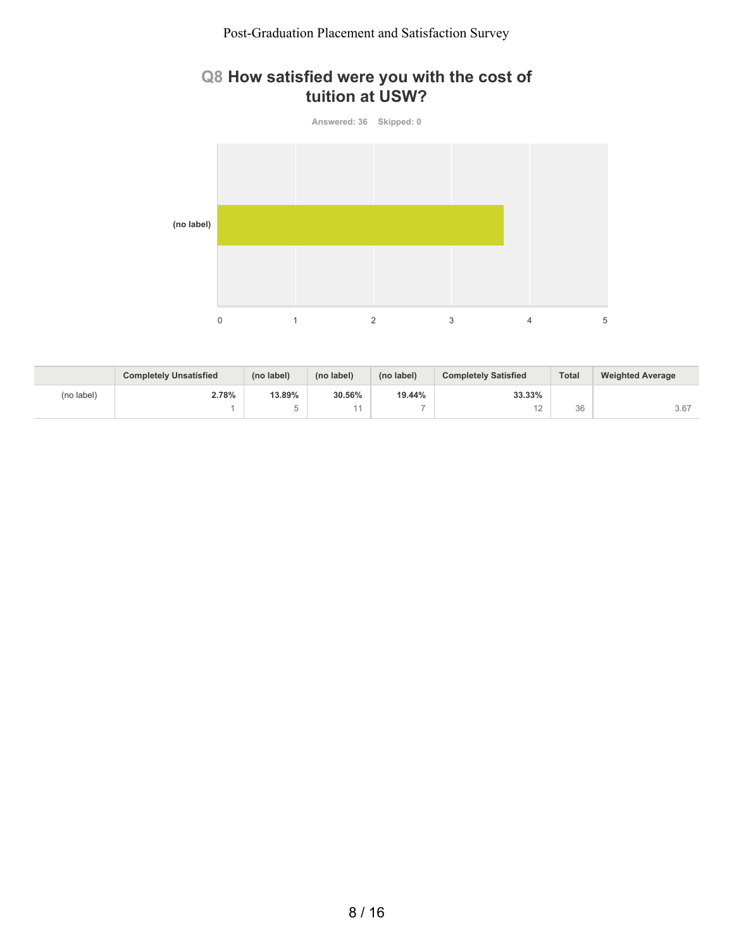### **Q8 How satisfied were you with the cost of tuition at USW?**



|            | <b>Completely Unsatisfied</b> | (no label) | (no label) | (no label)               | <b>Completely Satisfied</b> | <b>Total</b> | <b>Weighted Average</b> |
|------------|-------------------------------|------------|------------|--------------------------|-----------------------------|--------------|-------------------------|
| (no label) | 2.78%                         | 13.89%     | 30.56%     | 19.44%                   | 33.33%                      |              |                         |
|            |                               |            |            | $\overline{\phantom{a}}$ | $\sim$<br>-                 | 36           | 3.67                    |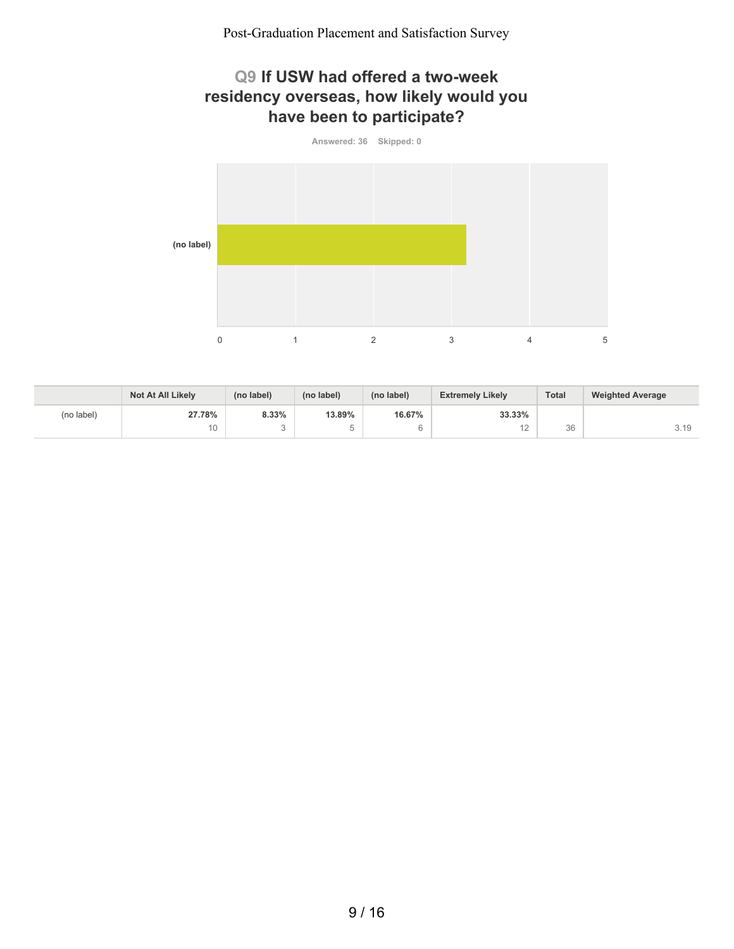### **Q9 If USW had offered a two-week residency overseas, how likely would you have been to participate?**



|            | <b>Not At All Likely</b> | (no label) | (no label) | (no label) | <b>Extremely Likely</b> | <b>Total</b> | <b>Weighted Average</b> |
|------------|--------------------------|------------|------------|------------|-------------------------|--------------|-------------------------|
| (no label) | 27.78%                   | 8.33%      | 13.89%     | 16.67%     | 33.33%                  |              |                         |
|            | 10                       |            |            |            | $\sim$<br>$\sim$        | 26<br>υu     | 3.19                    |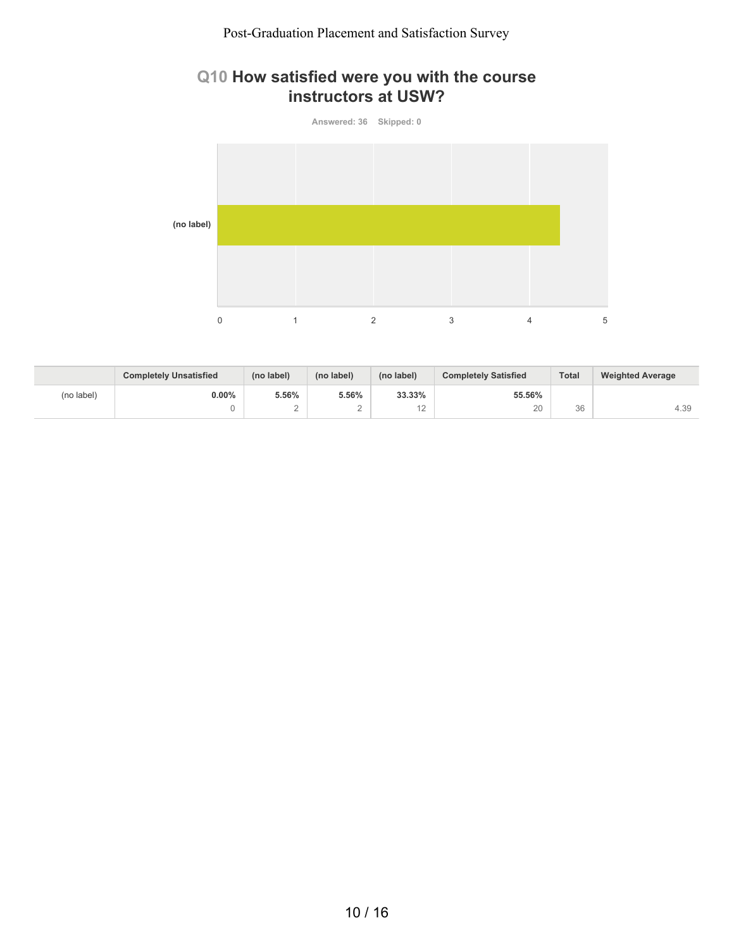### **Q10 How satisfied were you with the course instructors at USW?**



|            | <b>Completely Unsatisfied</b> | (no label) | (no label) | (no label)       | <b>Completely Satisfied</b> | <b>Total</b> | <b>Weighted Average</b> |
|------------|-------------------------------|------------|------------|------------------|-----------------------------|--------------|-------------------------|
| (no label) | $0.00\%$                      | 5.56%      | 5.56%      | 33.33%           | 55.56%                      |              |                         |
|            |                               |            |            | $\sqrt{2}$<br>⊢∠ | 20                          | 36           | 4.39                    |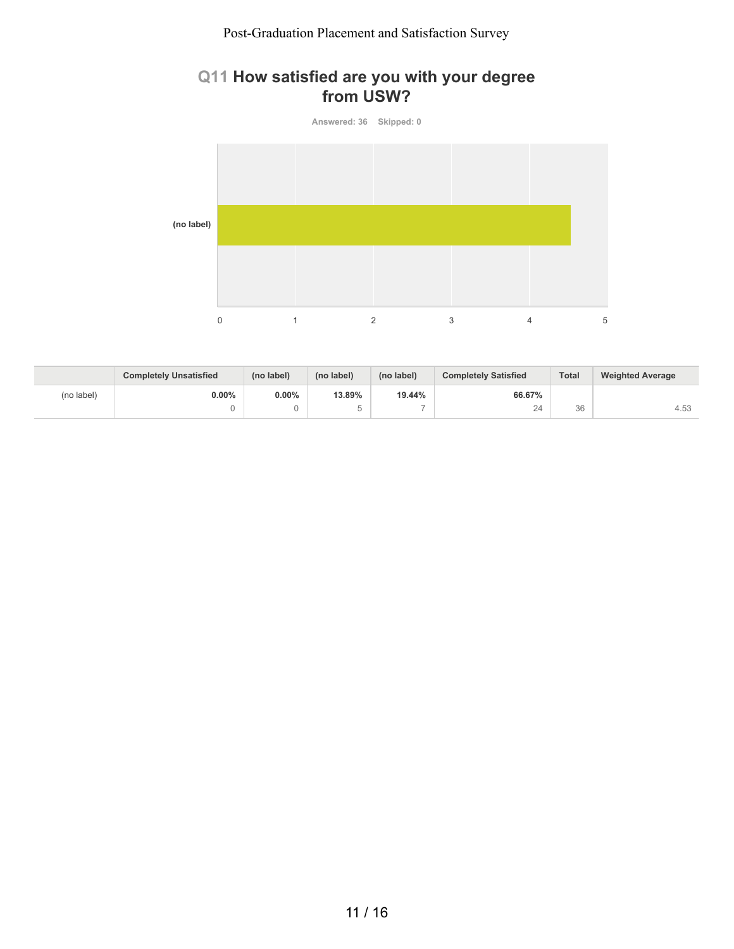### **Q11 How satisfied are you with your degree from USW?**



|            | <b>Completely Unsatisfied</b> | (no label) | (no label) | (no label)               | <b>Completely Satisfied</b> | <b>Total</b> | <b>Weighted Average</b> |
|------------|-------------------------------|------------|------------|--------------------------|-----------------------------|--------------|-------------------------|
| (no label) | $0.00\%$                      | $0.00\%$   | 13.89%     | 19.44%                   | 66.67%                      |              |                         |
|            |                               |            |            | $\overline{\phantom{a}}$ | 24                          | 36           | 4.53                    |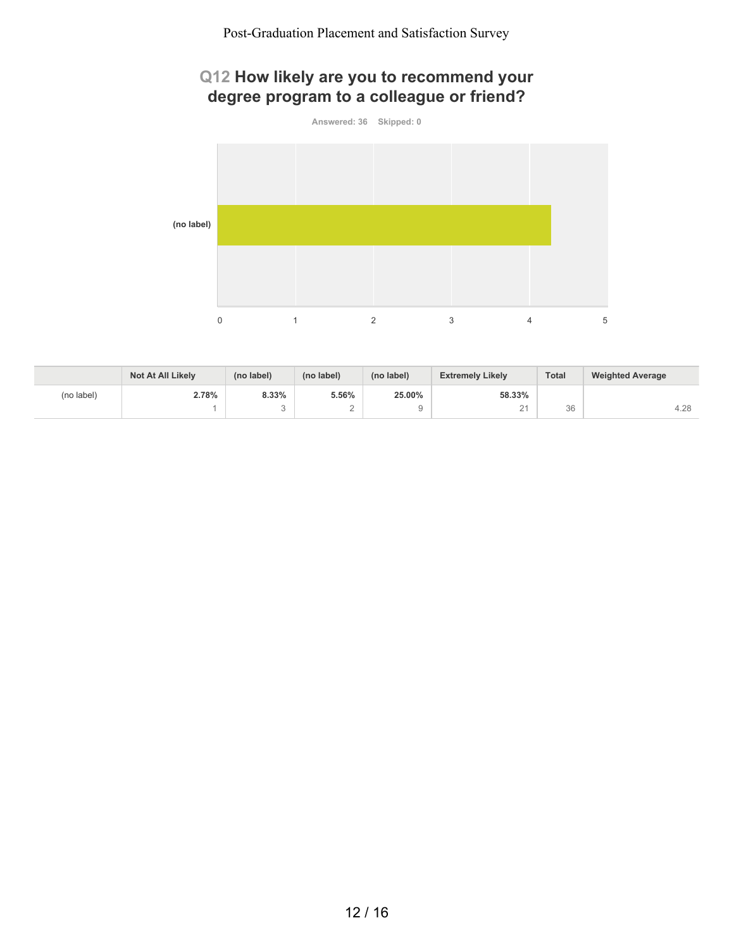# **Q12 How likely are you to recommend your degree program to a colleague or friend?**



|            | Not At All Likely | (no label) | (no label)      | (no label) | <b>Extremely Likely</b> | Total    | <b>Weighted Average</b> |
|------------|-------------------|------------|-----------------|------------|-------------------------|----------|-------------------------|
| (no label) | 2.78%             | 8.33%      | 5.56%           | 25.00%     | 58.33%                  |          |                         |
|            |                   | $\sim$     | $\sqrt{2}$<br>∼ | u          | $\bigcap A$<br>-        | 36<br>υU | 4.28                    |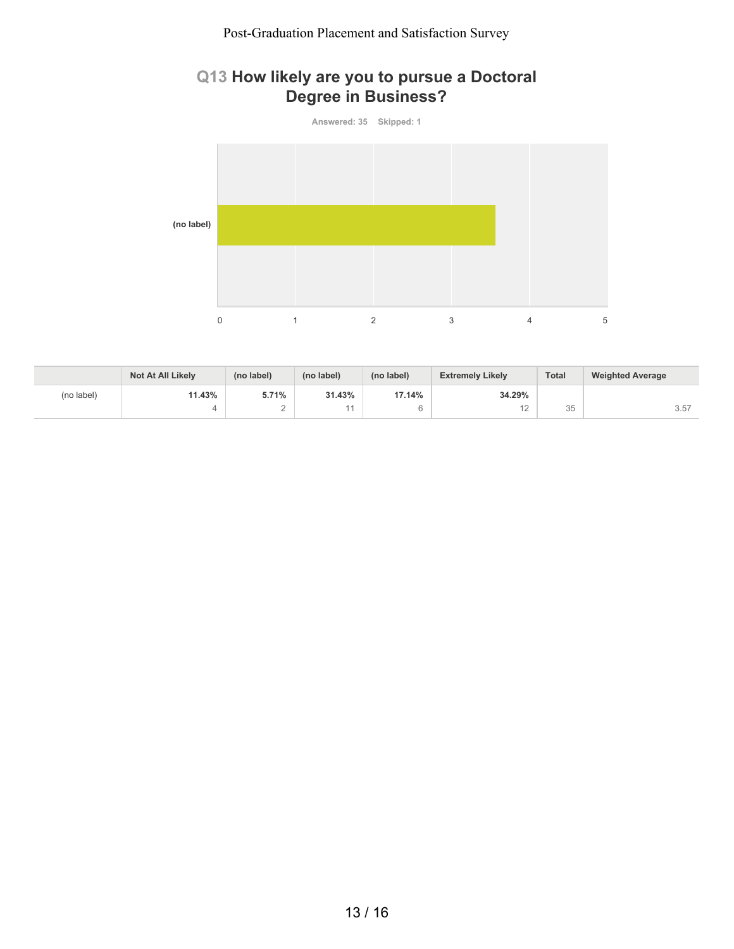#### **Q13 How likely are you to pursue a Doctoral Degree in Business?**



|            | Not At All Likely | (no label) | (no label) | (no label) | <b>Extremely Likely</b> | <b>Total</b>          | <b>Weighted Average</b> |
|------------|-------------------|------------|------------|------------|-------------------------|-----------------------|-------------------------|
| (no label) | 11.43%            | 5.71%      | 31.43%     | 17.14%     | 34.29%                  |                       |                         |
|            |                   | ∼          |            |            | ے ا                     | $\cap$ $\Gamma$<br>JU | 3.57                    |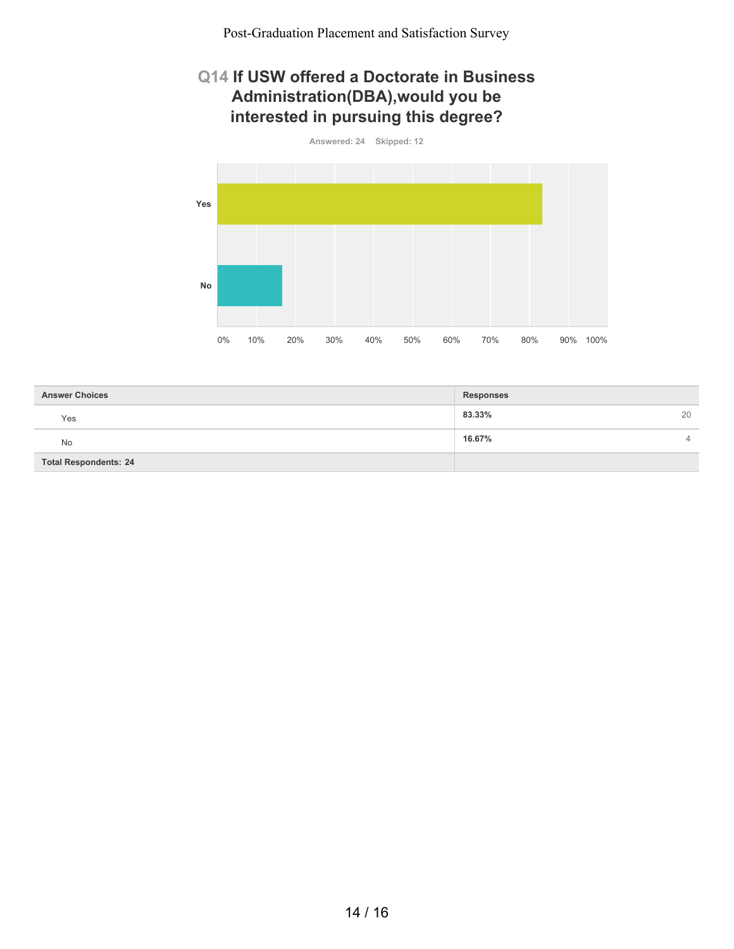### **Q14 If USW offered a Doctorate in Business Administration(DBA),would you be interested in pursuing this degree?**



| <b>Answer Choices</b>        | <b>Responses</b>         |
|------------------------------|--------------------------|
| Yes                          | 83.33%<br>20             |
| No                           | 16.67%<br>$\overline{4}$ |
| <b>Total Respondents: 24</b> |                          |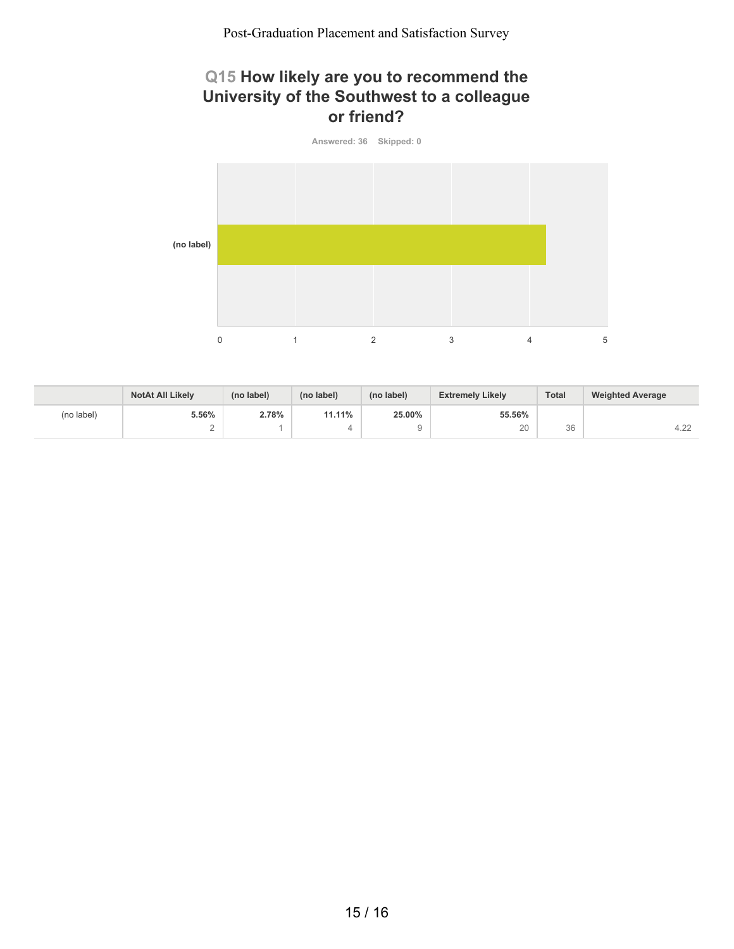## **Q15 How likely are you to recommend the University of the Southwest to a colleague or friend?**



|            | <b>NotAt All Likely</b> | (no label) | (no label) | (no label) | <b>Extremely Likely</b> | <b>Total</b> | <b>Weighted Average</b> |
|------------|-------------------------|------------|------------|------------|-------------------------|--------------|-------------------------|
| (no label) | 5.56%                   | 2.78%      | 11.11%     | 25.00%     | 55.56%                  |              |                         |
|            | ∸                       |            |            |            | 20                      | 36           | 10 <sup>2</sup><br>4.22 |